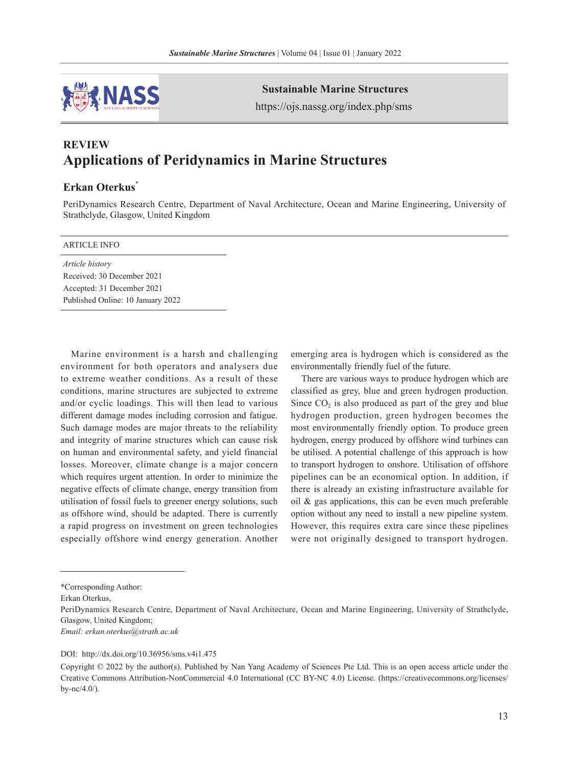

**Sustainable Marine Structures**

https://ojs.nassg.org/index.php/sms

# **REVIEW Applications of Peridynamics in Marine Structures**

## **Erkan Oterkus**\*

PeriDynamics Research Centre, Department of Naval Architecture, Ocean and Marine Engineering, University of Strathclyde, Glasgow, United Kingdom

### ARTICLE INFO

*Article history* Received: 30 December 2021 Accepted: 31 December 2021 Published Online: 10 January 2022

Marine environment is a harsh and challenging environment for both operators and analysers due to extreme weather conditions. As a result of these conditions, marine structures are subjected to extreme and/or cyclic loadings. This will then lead to various different damage modes including corrosion and fatigue. Such damage modes are major threats to the reliability and integrity of marine structures which can cause risk on human and environmental safety, and yield financial losses. Moreover, climate change is a major concern which requires urgent attention. In order to minimize the negative effects of climate change, energy transition from utilisation of fossil fuels to greener energy solutions, such as offshore wind, should be adapted. There is currently a rapid progress on investment on green technologies especially offshore wind energy generation. Another emerging area is hydrogen which is considered as the environmentally friendly fuel of the future.

There are various ways to produce hydrogen which are classified as grey, blue and green hydrogen production. Since  $CO<sub>2</sub>$  is also produced as part of the grey and blue hydrogen production, green hydrogen becomes the most environmentally friendly option. To produce green hydrogen, energy produced by offshore wind turbines can be utilised. A potential challenge of this approach is how to transport hydrogen to onshore. Utilisation of offshore pipelines can be an economical option. In addition, if there is already an existing infrastructure available for oil  $\&$  gas applications, this can be even much preferable option without any need to install a new pipeline system. However, this requires extra care since these pipelines were not originally designed to transport hydrogen.

*Email: erkan.oterkus@strath.ac.uk*

#### DOI: http://dx.doi.org/10.36956/sms.v4i1.475

<sup>\*</sup>Corresponding Author:

Erkan Oterkus,

PeriDynamics Research Centre, Department of Naval Architecture, Ocean and Marine Engineering, University of Strathclyde, Glasgow, United Kingdom;

Copyright © 2022 by the author(s). Published by Nan Yang Academy of Sciences Pte Ltd. This is an open access article under the Creative Commons Attribution-NonCommercial 4.0 International (CC BY-NC 4.0) License. (https://creativecommons.org/licenses/ by-nc/4.0/).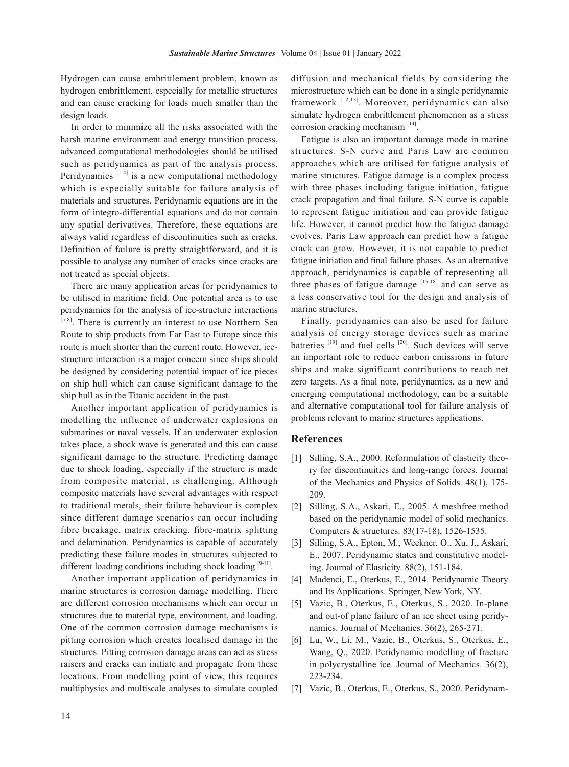Hydrogen can cause embrittlement problem, known as hydrogen embrittlement, especially for metallic structures and can cause cracking for loads much smaller than the design loads.

In order to minimize all the risks associated with the harsh marine environment and energy transition process, advanced computational methodologies should be utilised such as peridynamics as part of the analysis process. Peridynamics  $[1-4]$  is a new computational methodology which is especially suitable for failure analysis of materials and structures. Peridynamic equations are in the form of integro-differential equations and do not contain any spatial derivatives. Therefore, these equations are always valid regardless of discontinuities such as cracks. Definition of failure is pretty straightforward, and it is possible to analyse any number of cracks since cracks are not treated as special objects.

There are many application areas for peridynamics to be utilised in maritime field. One potential area is to use peridynamics for the analysis of ice-structure interactions [5-8]. There is currently an interest to use Northern Sea Route to ship products from Far East to Europe since this route is much shorter than the current route. However, icestructure interaction is a major concern since ships should be designed by considering potential impact of ice pieces on ship hull which can cause significant damage to the ship hull as in the Titanic accident in the past.

Another important application of peridynamics is modelling the influence of underwater explosions on submarines or naval vessels. If an underwater explosion takes place, a shock wave is generated and this can cause significant damage to the structure. Predicting damage due to shock loading, especially if the structure is made from composite material, is challenging. Although composite materials have several advantages with respect to traditional metals, their failure behaviour is complex since different damage scenarios can occur including fibre breakage, matrix cracking, fibre-matrix splitting and delamination. Peridynamics is capable of accurately predicting these failure modes in structures subjected to different loading conditions including shock loading [9-11].

Another important application of peridynamics in marine structures is corrosion damage modelling. There are different corrosion mechanisms which can occur in structures due to material type, environment, and loading. One of the common corrosion damage mechanisms is pitting corrosion which creates localised damage in the structures. Pitting corrosion damage areas can act as stress raisers and cracks can initiate and propagate from these locations. From modelling point of view, this requires multiphysics and multiscale analyses to simulate coupled

diffusion and mechanical fields by considering the microstructure which can be done in a single peridynamic framework [12,13]. Moreover, peridynamics can also simulate hydrogen embrittlement phenomenon as a stress corrosion cracking mechanism [14].

Fatigue is also an important damage mode in marine structures. S-N curve and Paris Law are common approaches which are utilised for fatigue analysis of marine structures. Fatigue damage is a complex process with three phases including fatigue initiation, fatigue crack propagation and final failure. S-N curve is capable to represent fatigue initiation and can provide fatigue life. However, it cannot predict how the fatigue damage evolves. Paris Law approach can predict how a fatigue crack can grow. However, it is not capable to predict fatigue initiation and final failure phases. As an alternative approach, peridynamics is capable of representing all three phases of fatigue damage [15-18] and can serve as a less conservative tool for the design and analysis of marine structures.

Finally, peridynamics can also be used for failure analysis of energy storage devices such as marine batteries  $^{[19]}$  and fuel cells  $^{[20]}$ . Such devices will serve an important role to reduce carbon emissions in future ships and make significant contributions to reach net zero targets. As a final note, peridynamics, as a new and emerging computational methodology, can be a suitable and alternative computational tool for failure analysis of problems relevant to marine structures applications.

### **References**

- [1] Silling, S.A., 2000. Reformulation of elasticity theory for discontinuities and long-range forces. Journal of the Mechanics and Physics of Solids. 48(1), 175- 209.
- [2] Silling, S.A., Askari, E., 2005. A meshfree method based on the peridynamic model of solid mechanics. Computers & structures. 83(17-18), 1526-1535.
- [3] Silling, S.A., Epton, M., Weckner, O., Xu, J., Askari, E., 2007. Peridynamic states and constitutive modeling. Journal of Elasticity. 88(2), 151-184.
- [4] Madenci, E., Oterkus, E., 2014. Peridynamic Theory and Its Applications. Springer, New York, NY.
- [5] Vazic, B., Oterkus, E., Oterkus, S., 2020. In-plane and out-of plane failure of an ice sheet using peridynamics. Journal of Mechanics. 36(2), 265-271.
- [6] Lu, W., Li, M., Vazic, B., Oterkus, S., Oterkus, E., Wang, Q., 2020. Peridynamic modelling of fracture in polycrystalline ice. Journal of Mechanics. 36(2), 223-234.
- [7] Vazic, B., Oterkus, E., Oterkus, S., 2020. Peridynam-